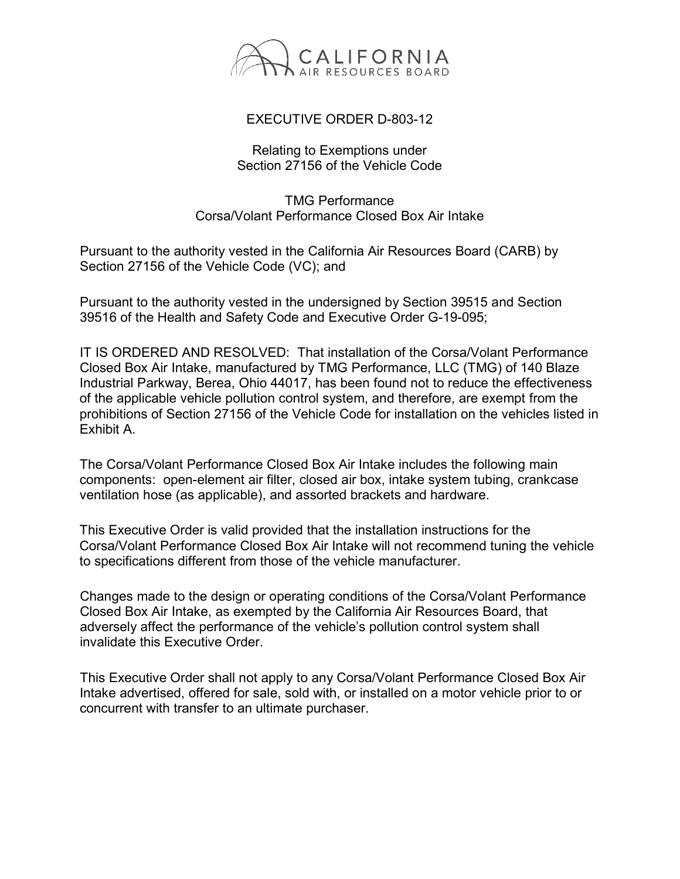

## EXECUTIVE ORDER D-803-12

## Relating to Exemptions under Section 27156 of the Vehicle Code

## TMG Performance Corsa/Volant Performance Closed Box Air Intake

Pursuant to the authority vested in the California Air Resources Board (CARB) by Section 27156 of the Vehicle Code (VC); and

Pursuant to the authority vested in the undersigned by Section 39515 and Section 39516 of the Health and Safety Code and Executive Order G-19-095;

IT IS ORDERED AND RESOLVED: That installation of the Corsa/Volant Performance Closed Box Air Intake, manufactured by TMG Performance, LLC (TMG) of 140 Blaze Industrial Parkway, Berea, Ohio 44017, has been found not to reduce the effectiveness of the applicable vehicle pollution control system, and therefore, are exempt from the prohibitions of Section 27156 of the Vehicle Code for installation on the vehicles listed in Exhibit A.

The Corsa/Volant Performance Closed Box Air Intake includes the following main components: open-element air filter, closed air box, intake system tubing, crankcase ventilation hose (as applicable), and assorted brackets and hardware.

This Executive Order is valid provided that the installation instructions for the Corsa/Volant Performance Closed Box Air Intake will not recommend tuning the vehicle to specifications different from those of the vehicle manufacturer.

Changes made to the design or operating conditions of the Corsa/Volant Performance Closed Box Air Intake, as exempted by the California Air Resources Board, that adversely affect the performance of the vehicle's pollution control system shall invalidate this Executive Order.

This Executive Order shall not apply to any Corsa/Volant Performance Closed Box Air Intake advertised, offered for sale, sold with, or installed on a motor vehicle prior to or concurrent with transfer to an ultimate purchaser.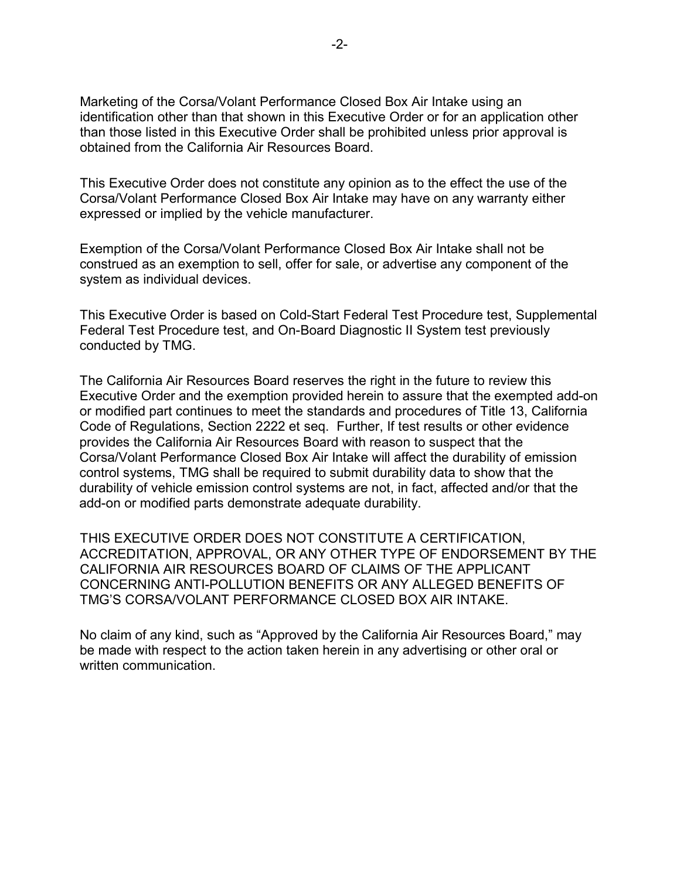Marketing of the Corsa/Volant Performance Closed Box Air Intake using an identification other than that shown in this Executive Order or for an application other than those listed in this Executive Order shall be prohibited unless prior approval is obtained from the California Air Resources Board.

This Executive Order does not constitute any opinion as to the effect the use of the Corsa/Volant Performance Closed Box Air Intake may have on any warranty either expressed or implied by the vehicle manufacturer.

Exemption of the Corsa/Volant Performance Closed Box Air Intake shall not be construed as an exemption to sell, offer for sale, or advertise any component of the system as individual devices.

This Executive Order is based on Cold-Start Federal Test Procedure test, Supplemental Federal Test Procedure test, and On-Board Diagnostic II System test previously conducted by TMG.

The California Air Resources Board reserves the right in the future to review this Executive Order and the exemption provided herein to assure that the exempted add-on or modified part continues to meet the standards and procedures of Title 13, California Code of Regulations, Section 2222 et seq. Further, If test results or other evidence provides the California Air Resources Board with reason to suspect that the Corsa/Volant Performance Closed Box Air Intake will affect the durability of emission control systems, TMG shall be required to submit durability data to show that the durability of vehicle emission control systems are not, in fact, affected and/or that the add-on or modified parts demonstrate adequate durability.

THIS EXECUTIVE ORDER DOES NOT CONSTITUTE A CERTIFICATION, ACCREDITATION, APPROVAL, OR ANY OTHER TYPE OF ENDORSEMENT BY THE CALIFORNIA AIR RESOURCES BOARD OF CLAIMS OF THE APPLICANT CONCERNING ANTI-POLLUTION BENEFITS OR ANY ALLEGED BENEFITS OF TMG'S CORSA/VOLANT PERFORMANCE CLOSED BOX AIR INTAKE.

No claim of any kind, such as "Approved by the California Air Resources Board," may be made with respect to the action taken herein in any advertising or other oral or written communication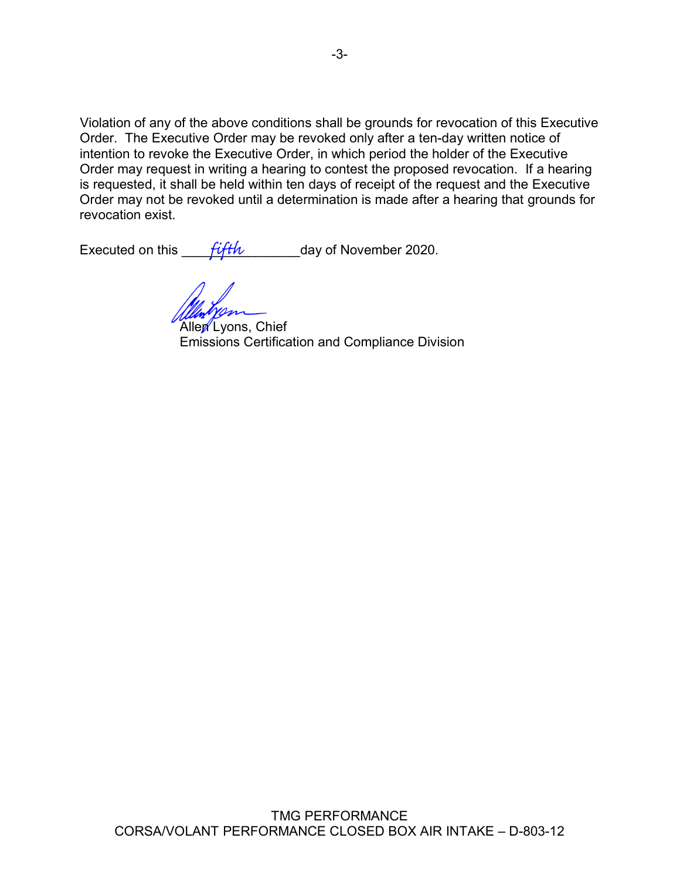Violation of any of the above conditions shall be grounds for revocation of this Executive Order. The Executive Order may be revoked only after a ten-day written notice of intention to revoke the Executive Order, in which period the holder of the Executive Order may request in writing a hearing to contest the proposed revocation. If a hearing is requested, it shall be held within ten days of receipt of the request and the Executive Order may not be revoked until a determination is made after a hearing that grounds for revocation exist.

Executed on this  $f_{\text{eff}}$  and  $f_{\text{eff}}$  day of November 2020.

Allen Lyons, Chief Emissions Certification and Compliance Division